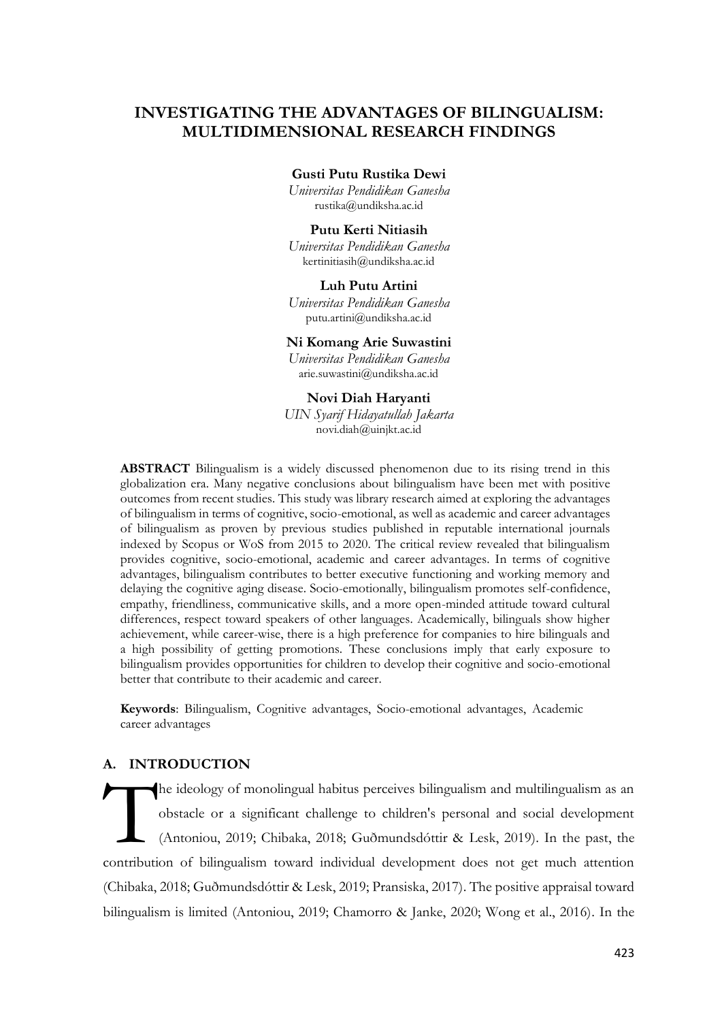# **INVESTIGATING THE ADVANTAGES OF BILINGUALISM: MULTIDIMENSIONAL RESEARCH FINDINGS**

**Gusti Putu Rustika Dewi**

*Universitas Pendidikan Ganesha* [rustika@undiksha.ac.id](mailto:rustika@undiksha.ac.id)

#### **Putu Kerti Nitiasih**

*Universitas Pendidikan Ganesha* [kertinitiasih@undiksha.ac.id](mailto:kertinitiasih@undiksha.ac.id)

# **Luh Putu Artini**

*Universitas Pendidikan Ganesha* [putu.artini@undiksha.ac.id](mailto:putu.artini@undiksha.ac.id)

# **Ni Komang Arie Suwastini**

*Universitas Pendidikan Ganesha* [arie.suwastini@undiksha.ac.id](mailto:arie.suwastini@undiksha.ac.id)

**Novi Diah Haryanti** *UIN Syarif Hidayatullah Jakarta* [novi.diah@uinjkt.ac.id](mailto:novi.diah@uinjkt.ac.id)

**ABSTRACT** Bilingualism is a widely discussed phenomenon due to its rising trend in this globalization era. Many negative conclusions about bilingualism have been met with positive outcomes from recent studies. This study was library research aimed at exploring the advantages of bilingualism in terms of cognitive, socio-emotional, as well as academic and career advantages of bilingualism as proven by previous studies published in reputable international journals indexed by Scopus or WoS from 2015 to 2020. The critical review revealed that bilingualism provides cognitive, socio-emotional, academic and career advantages. In terms of cognitive advantages, bilingualism contributes to better executive functioning and working memory and delaying the cognitive aging disease. Socio-emotionally, bilingualism promotes self-confidence, empathy, friendliness, communicative skills, and a more open-minded attitude toward cultural differences, respect toward speakers of other languages. Academically, bilinguals show higher achievement, while career-wise, there is a high preference for companies to hire bilinguals and a high possibility of getting promotions. These conclusions imply that early exposure to bilingualism provides opportunities for children to develop their cognitive and socio-emotional better that contribute to their academic and career.

**Keywords**: Bilingualism, Cognitive advantages, Socio-emotional advantages, Academic career advantages

# **A. INTRODUCTION**

he ideology of monolingual habitus perceives bilingualism and multilingualism as an obstacle or a significant challenge to children's personal and social development (Antoniou, 2019; Chibaka, 2018; Guðmundsdóttir & Lesk, 2019). In the past, the contribution of bilingualism toward individual development does not get much attention (Chibaka, 2018; Guðmundsdóttir & Lesk, 2019; Pransiska, 2017). The positive appraisal toward bilingualism is limited (Antoniou, 2019; Chamorro & Janke, 2020; Wong et al., 2016). In the **T**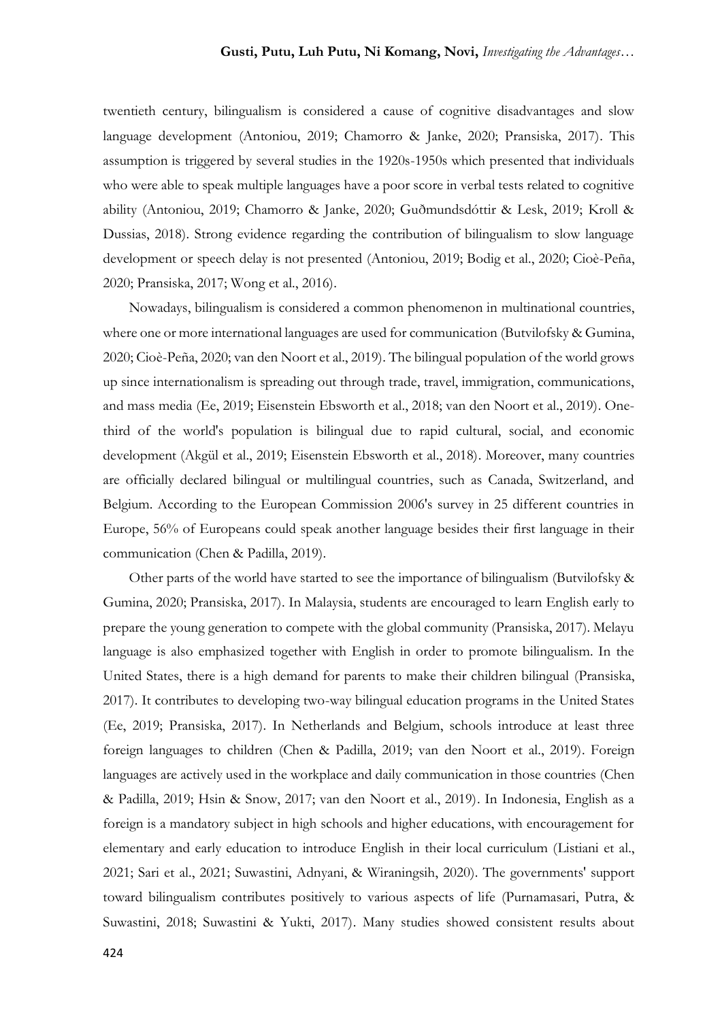twentieth century, bilingualism is considered a cause of cognitive disadvantages and slow language development (Antoniou, 2019; Chamorro & Janke, 2020; Pransiska, 2017). This assumption is triggered by several studies in the 1920s-1950s which presented that individuals who were able to speak multiple languages have a poor score in verbal tests related to cognitive ability (Antoniou, 2019; Chamorro & Janke, 2020; Guðmundsdóttir & Lesk, 2019; Kroll & Dussias, 2018). Strong evidence regarding the contribution of bilingualism to slow language development or speech delay is not presented (Antoniou, 2019; Bodig et al., 2020; Cioè-Peña, 2020; Pransiska, 2017; Wong et al., 2016).

Nowadays, bilingualism is considered a common phenomenon in multinational countries, where one or more international languages are used for communication (Butvilofsky & Gumina, 2020; Cioè-Peña, 2020; van den Noort et al., 2019). The bilingual population of the world grows up since internationalism is spreading out through trade, travel, immigration, communications, and mass media (Ee, 2019; Eisenstein Ebsworth et al., 2018; van den Noort et al., 2019). Onethird of the world's population is bilingual due to rapid cultural, social, and economic development (Akgül et al., 2019; Eisenstein Ebsworth et al., 2018). Moreover, many countries are officially declared bilingual or multilingual countries, such as Canada, Switzerland, and Belgium. According to the European Commission 2006's survey in 25 different countries in Europe, 56% of Europeans could speak another language besides their first language in their communication (Chen & Padilla, 2019).

Other parts of the world have started to see the importance of bilingualism (Butvilofsky & Gumina, 2020; Pransiska, 2017). In Malaysia, students are encouraged to learn English early to prepare the young generation to compete with the global community (Pransiska, 2017). Melayu language is also emphasized together with English in order to promote bilingualism. In the United States, there is a high demand for parents to make their children bilingual (Pransiska, 2017). It contributes to developing two-way bilingual education programs in the United States (Ee, 2019; Pransiska, 2017). In Netherlands and Belgium, schools introduce at least three foreign languages to children (Chen & Padilla, 2019; van den Noort et al., 2019). Foreign languages are actively used in the workplace and daily communication in those countries (Chen & Padilla, 2019; Hsin & Snow, 2017; van den Noort et al., 2019). In Indonesia, English as a foreign is a mandatory subject in high schools and higher educations, with encouragement for elementary and early education to introduce English in their local curriculum (Listiani et al., 2021; Sari et al., 2021; Suwastini, Adnyani, & Wiraningsih, 2020). The governments' support toward bilingualism contributes positively to various aspects of life (Purnamasari, Putra, & Suwastini, 2018; Suwastini & Yukti, 2017). Many studies showed consistent results about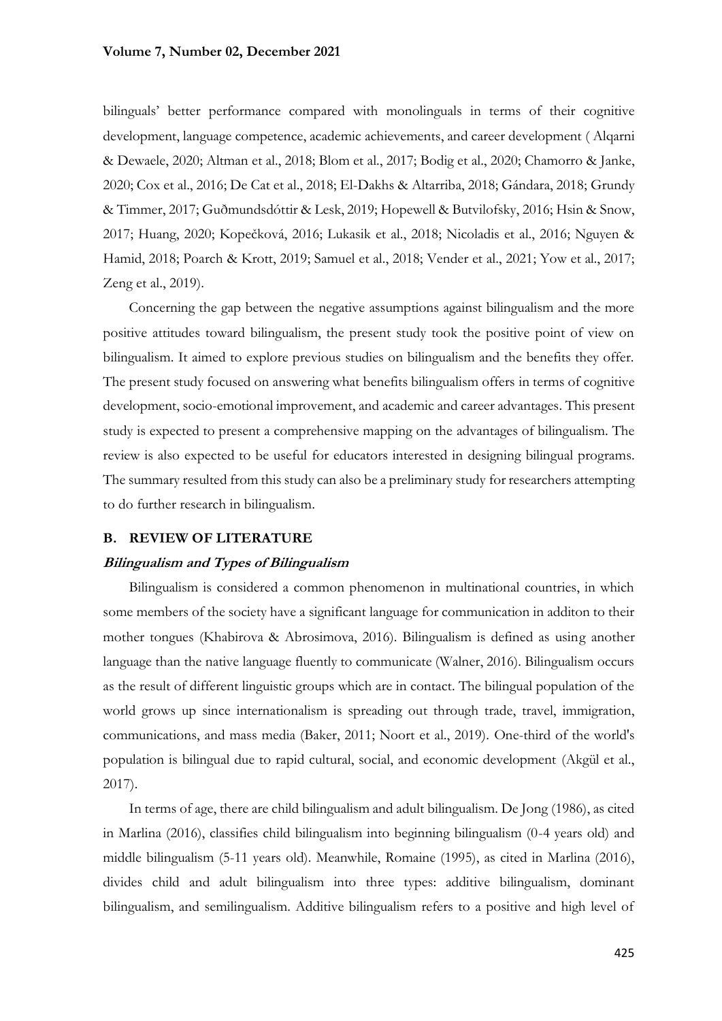bilinguals' better performance compared with monolinguals in terms of their cognitive development, language competence, academic achievements, and career development ( Alqarni & Dewaele, 2020; Altman et al., 2018; Blom et al., 2017; Bodig et al., 2020; Chamorro & Janke, 2020; Cox et al., 2016; De Cat et al., 2018; El-Dakhs & Altarriba, 2018; Gándara, 2018; Grundy & Timmer, 2017; Guðmundsdóttir & Lesk, 2019; Hopewell & Butvilofsky, 2016; Hsin & Snow, 2017; Huang, 2020; Kopečková, 2016; Lukasik et al., 2018; Nicoladis et al., 2016; Nguyen & Hamid, 2018; Poarch & Krott, 2019; Samuel et al., 2018; Vender et al., 2021; Yow et al., 2017; Zeng et al., 2019).

Concerning the gap between the negative assumptions against bilingualism and the more positive attitudes toward bilingualism, the present study took the positive point of view on bilingualism. It aimed to explore previous studies on bilingualism and the benefits they offer. The present study focused on answering what benefits bilingualism offers in terms of cognitive development, socio-emotional improvement, and academic and career advantages. This present study is expected to present a comprehensive mapping on the advantages of bilingualism. The review is also expected to be useful for educators interested in designing bilingual programs. The summary resulted from this study can also be a preliminary study for researchers attempting to do further research in bilingualism.

#### **B. REVIEW OF LITERATURE**

### **Bilingualism and Types of Bilingualism**

Bilingualism is considered a common phenomenon in multinational countries, in which some members of the society have a significant language for communication in additon to their mother tongues (Khabirova & Abrosimova, 2016). Bilingualism is defined as using another language than the native language fluently to communicate (Walner, 2016). Bilingualism occurs as the result of different linguistic groups which are in contact. The bilingual population of the world grows up since internationalism is spreading out through trade, travel, immigration, communications, and mass media (Baker, 2011; Noort et al., 2019). One-third of the world's population is bilingual due to rapid cultural, social, and economic development (Akgül et al., 2017).

In terms of age, there are child bilingualism and adult bilingualism. De Jong (1986), as cited in Marlina (2016), classifies child bilingualism into beginning bilingualism (0-4 years old) and middle bilingualism (5-11 years old). Meanwhile, Romaine (1995), as cited in Marlina (2016), divides child and adult bilingualism into three types: additive bilingualism, dominant bilingualism, and semilingualism. Additive bilingualism refers to a positive and high level of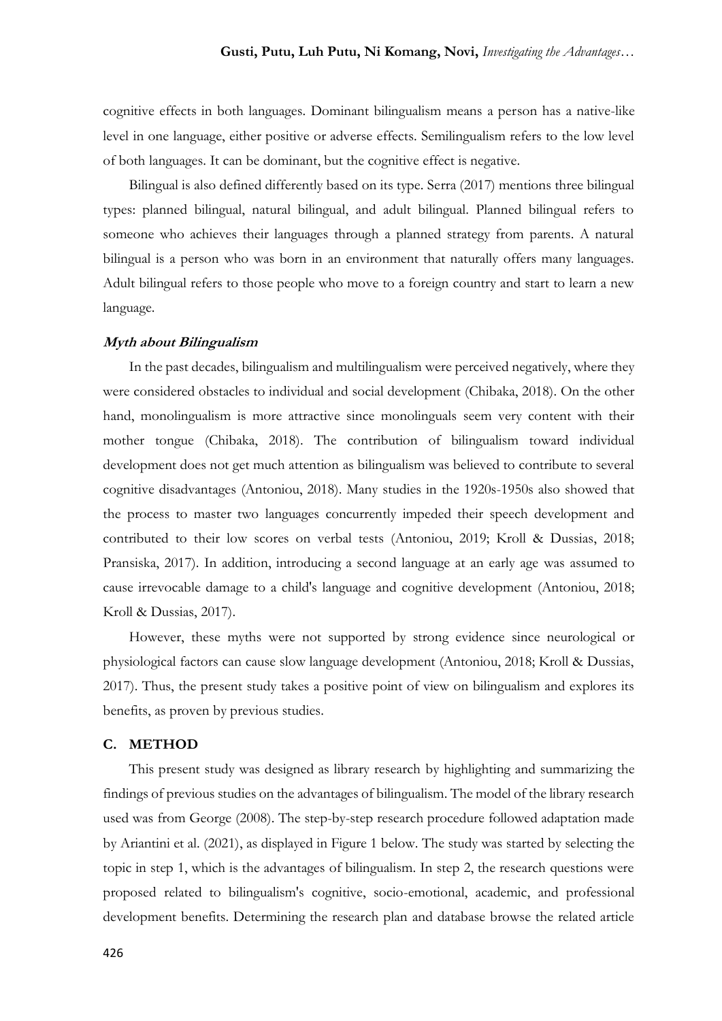cognitive effects in both languages. Dominant bilingualism means a person has a native-like level in one language, either positive or adverse effects. Semilingualism refers to the low level of both languages. It can be dominant, but the cognitive effect is negative.

Bilingual is also defined differently based on its type. Serra (2017) mentions three bilingual types: planned bilingual, natural bilingual, and adult bilingual. Planned bilingual refers to someone who achieves their languages through a planned strategy from parents. A natural bilingual is a person who was born in an environment that naturally offers many languages. Adult bilingual refers to those people who move to a foreign country and start to learn a new language.

#### **Myth about Bilingualism**

In the past decades, bilingualism and multilingualism were perceived negatively, where they were considered obstacles to individual and social development (Chibaka, 2018). On the other hand, monolingualism is more attractive since monolinguals seem very content with their mother tongue (Chibaka, 2018). The contribution of bilingualism toward individual development does not get much attention as bilingualism was believed to contribute to several cognitive disadvantages (Antoniou, 2018). Many studies in the 1920s-1950s also showed that the process to master two languages concurrently impeded their speech development and contributed to their low scores on verbal tests (Antoniou, 2019; Kroll & Dussias, 2018; Pransiska, 2017). In addition, introducing a second language at an early age was assumed to cause irrevocable damage to a child's language and cognitive development (Antoniou, 2018; Kroll & Dussias, 2017).

However, these myths were not supported by strong evidence since neurological or physiological factors can cause slow language development (Antoniou, 2018; Kroll & Dussias, 2017). Thus, the present study takes a positive point of view on bilingualism and explores its benefits, as proven by previous studies.

# **C. METHOD**

This present study was designed as library research by highlighting and summarizing the findings of previous studies on the advantages of bilingualism. The model of the library research used was from George (2008). The step-by-step research procedure followed adaptation made by Ariantini et al. (2021), as displayed in Figure 1 below. The study was started by selecting the topic in step 1, which is the advantages of bilingualism. In step 2, the research questions were proposed related to bilingualism's cognitive, socio-emotional, academic, and professional development benefits. Determining the research plan and database browse the related article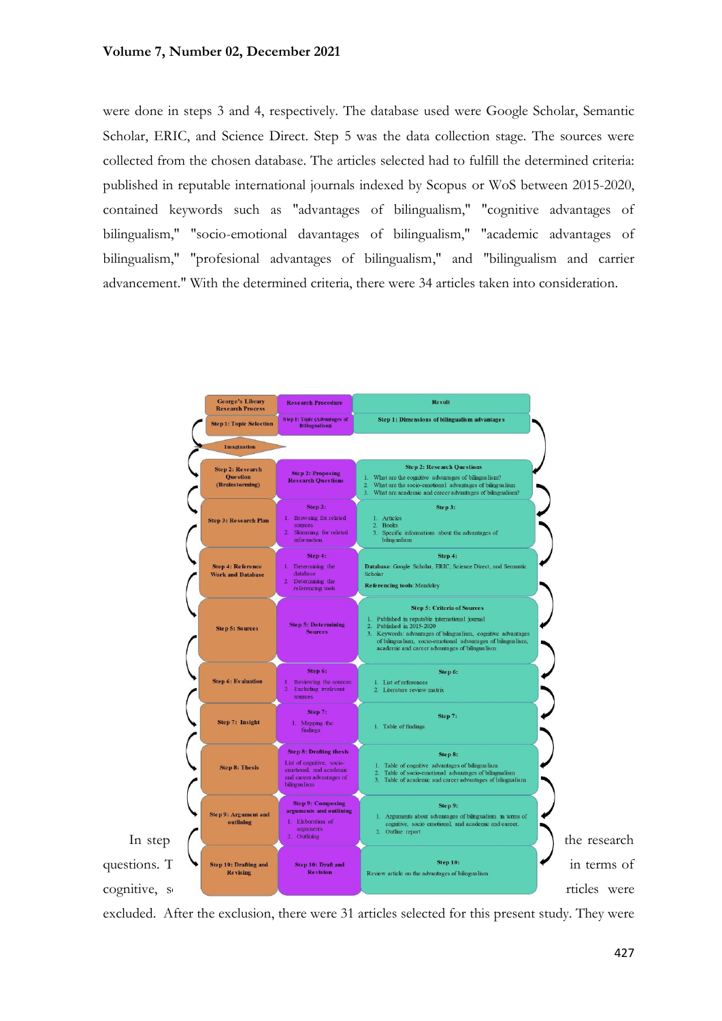were done in steps 3 and 4, respectively. The database used were Google Scholar, Semantic Scholar, ERIC, and Science Direct. Step 5 was the data collection stage. The sources were collected from the chosen database. The articles selected had to fulfill the determined criteria: published in reputable international journals indexed by Scopus or WoS between 2015-2020, contained keywords such as "advantages of bilingualism," "cognitive advantages of bilingualism," "socio-emotional davantages of bilingualism," "academic advantages of bilingualism," "profesional advantages of bilingualism," and "bilingualism and carrier advancement." With the determined criteria, there were 34 articles taken into consideration.



excluded. After the exclusion, there were 31 articles selected for this present study. They were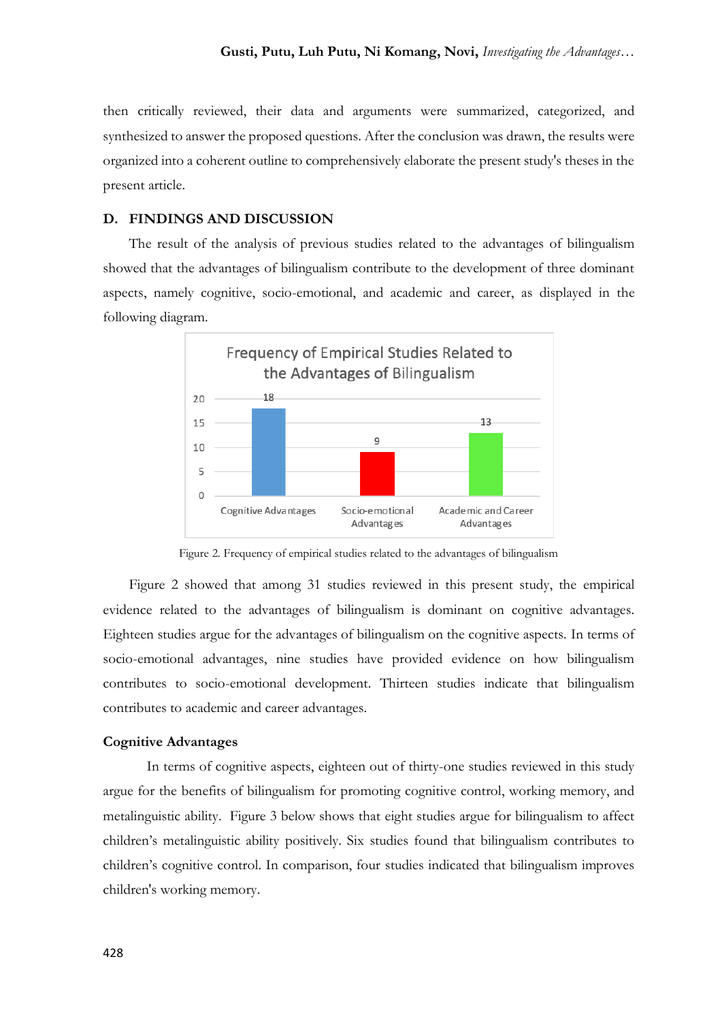then critically reviewed, their data and arguments were summarized, categorized, and synthesized to answer the proposed questions. After the conclusion was drawn, the results were organized into a coherent outline to comprehensively elaborate the present study's theses in the present article.

### **D. FINDINGS AND DISCUSSION**

The result of the analysis of previous studies related to the advantages of bilingualism showed that the advantages of bilingualism contribute to the development of three dominant aspects, namely cognitive, socio-emotional, and academic and career, as displayed in the following diagram.



Figure 2. Frequency of empirical studies related to the advantages of bilingualism

Figure 2 showed that among 31 studies reviewed in this present study, the empirical evidence related to the advantages of bilingualism is dominant on cognitive advantages. Eighteen studies argue for the advantages of bilingualism on the cognitive aspects. In terms of socio-emotional advantages, nine studies have provided evidence on how bilingualism contributes to socio-emotional development. Thirteen studies indicate that bilingualism contributes to academic and career advantages.

#### **Cognitive Advantages**

In terms of cognitive aspects, eighteen out of thirty-one studies reviewed in this study argue for the benefits of bilingualism for promoting cognitive control, working memory, and metalinguistic ability. Figure 3 below shows that eight studies argue for bilingualism to affect children's metalinguistic ability positively. Six studies found that bilingualism contributes to children's cognitive control. In comparison, four studies indicated that bilingualism improves children's working memory.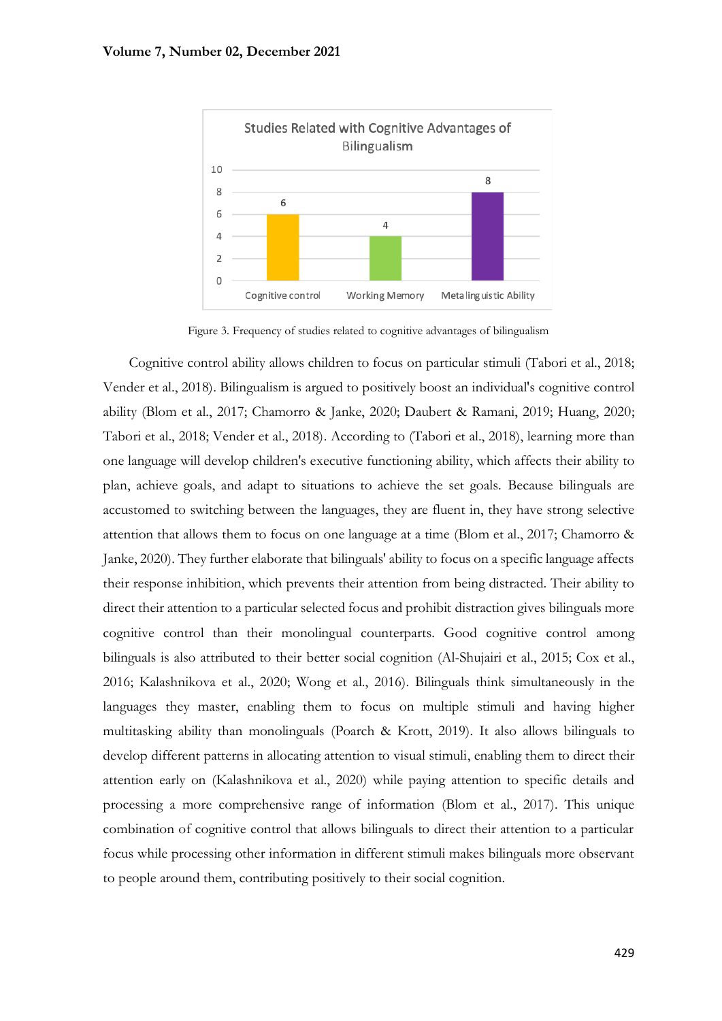

Figure 3. Frequency of studies related to cognitive advantages of bilingualism

Cognitive control ability allows children to focus on particular stimuli (Tabori et al., 2018; Vender et al., 2018). Bilingualism is argued to positively boost an individual's cognitive control ability (Blom et al., 2017; Chamorro & Janke, 2020; Daubert & Ramani, 2019; Huang, 2020; Tabori et al., 2018; Vender et al., 2018). According to (Tabori et al., 2018), learning more than one language will develop children's executive functioning ability, which affects their ability to plan, achieve goals, and adapt to situations to achieve the set goals. Because bilinguals are accustomed to switching between the languages, they are fluent in, they have strong selective attention that allows them to focus on one language at a time (Blom et al., 2017; Chamorro & Janke, 2020). They further elaborate that bilinguals' ability to focus on a specific language affects their response inhibition, which prevents their attention from being distracted. Their ability to direct their attention to a particular selected focus and prohibit distraction gives bilinguals more cognitive control than their monolingual counterparts. Good cognitive control among bilinguals is also attributed to their better social cognition (Al-Shujairi et al., 2015; Cox et al., 2016; Kalashnikova et al., 2020; Wong et al., 2016). Bilinguals think simultaneously in the languages they master, enabling them to focus on multiple stimuli and having higher multitasking ability than monolinguals (Poarch & Krott, 2019). It also allows bilinguals to develop different patterns in allocating attention to visual stimuli, enabling them to direct their attention early on (Kalashnikova et al., 2020) while paying attention to specific details and processing a more comprehensive range of information (Blom et al., 2017). This unique combination of cognitive control that allows bilinguals to direct their attention to a particular focus while processing other information in different stimuli makes bilinguals more observant to people around them, contributing positively to their social cognition.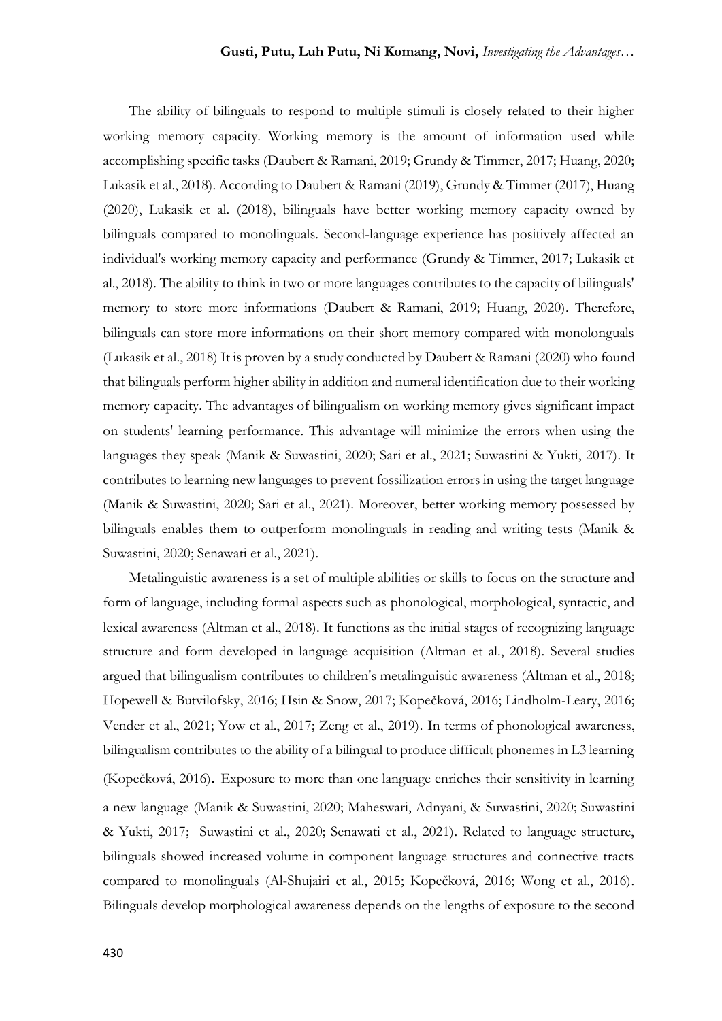The ability of bilinguals to respond to multiple stimuli is closely related to their higher working memory capacity. Working memory is the amount of information used while accomplishing specific tasks (Daubert & Ramani, 2019; Grundy & Timmer, 2017; Huang, 2020; Lukasik et al., 2018). According to Daubert & Ramani (2019), Grundy & Timmer (2017), Huang (2020), Lukasik et al. (2018), bilinguals have better working memory capacity owned by bilinguals compared to monolinguals. Second-language experience has positively affected an individual's working memory capacity and performance (Grundy & Timmer, 2017; Lukasik et al., 2018). The ability to think in two or more languages contributes to the capacity of bilinguals' memory to store more informations (Daubert & Ramani, 2019; Huang, 2020). Therefore, bilinguals can store more informations on their short memory compared with monolonguals (Lukasik et al., 2018) It is proven by a study conducted by Daubert & Ramani (2020) who found that bilinguals perform higher ability in addition and numeral identification due to their working memory capacity. The advantages of bilingualism on working memory gives significant impact on students' learning performance. This advantage will minimize the errors when using the languages they speak (Manik & Suwastini, 2020; Sari et al., 2021; Suwastini & Yukti, 2017). It contributes to learning new languages to prevent fossilization errors in using the target language (Manik & Suwastini, 2020; Sari et al., 2021). Moreover, better working memory possessed by bilinguals enables them to outperform monolinguals in reading and writing tests (Manik & Suwastini, 2020; Senawati et al., 2021).

Metalinguistic awareness is a set of multiple abilities or skills to focus on the structure and form of language, including formal aspects such as phonological, morphological, syntactic, and lexical awareness (Altman et al., 2018). It functions as the initial stages of recognizing language structure and form developed in language acquisition (Altman et al., 2018). Several studies argued that bilingualism contributes to children's metalinguistic awareness (Altman et al., 2018; Hopewell & Butvilofsky, 2016; Hsin & Snow, 2017; Kopečková, 2016; Lindholm-Leary, 2016; Vender et al., 2021; Yow et al., 2017; Zeng et al., 2019). In terms of phonological awareness, bilingualism contributes to the ability of a bilingual to produce difficult phonemes in L3 learning (Kopečková, 2016). Exposure to more than one language enriches their sensitivity in learning a new language (Manik & Suwastini, 2020; Maheswari, Adnyani, & Suwastini, 2020; Suwastini & Yukti, 2017; Suwastini et al., 2020; Senawati et al., 2021). Related to language structure, bilinguals showed increased volume in component language structures and connective tracts compared to monolinguals (Al-Shujairi et al., 2015; Kopečková, 2016; Wong et al., 2016). Bilinguals develop morphological awareness depends on the lengths of exposure to the second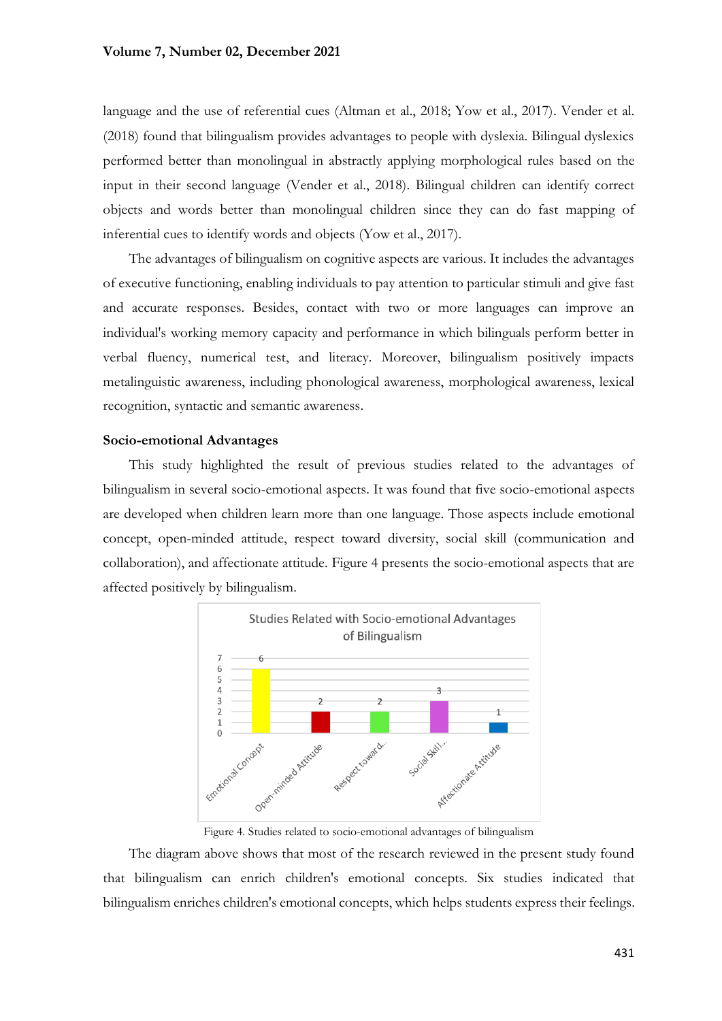language and the use of referential cues (Altman et al., 2018; Yow et al., 2017). Vender et al. (2018) found that bilingualism provides advantages to people with dyslexia. Bilingual dyslexics performed better than monolingual in abstractly applying morphological rules based on the input in their second language (Vender et al., 2018). Bilingual children can identify correct objects and words better than monolingual children since they can do fast mapping of inferential cues to identify words and objects (Yow et al., 2017).

The advantages of bilingualism on cognitive aspects are various. It includes the advantages of executive functioning, enabling individuals to pay attention to particular stimuli and give fast and accurate responses. Besides, contact with two or more languages can improve an individual's working memory capacity and performance in which bilinguals perform better in verbal fluency, numerical test, and literacy. Moreover, bilingualism positively impacts metalinguistic awareness, including phonological awareness, morphological awareness, lexical recognition, syntactic and semantic awareness.

#### **Socio-emotional Advantages**

This study highlighted the result of previous studies related to the advantages of bilingualism in several socio-emotional aspects. It was found that five socio-emotional aspects are developed when children learn more than one language. Those aspects include emotional concept, open-minded attitude, respect toward diversity, social skill (communication and collaboration), and affectionate attitude. Figure 4 presents the socio-emotional aspects that are affected positively by bilingualism.



Figure 4. Studies related to socio-emotional advantages of bilingualism

The diagram above shows that most of the research reviewed in the present study found that bilingualism can enrich children's emotional concepts. Six studies indicated that bilingualism enriches children's emotional concepts, which helps students express their feelings.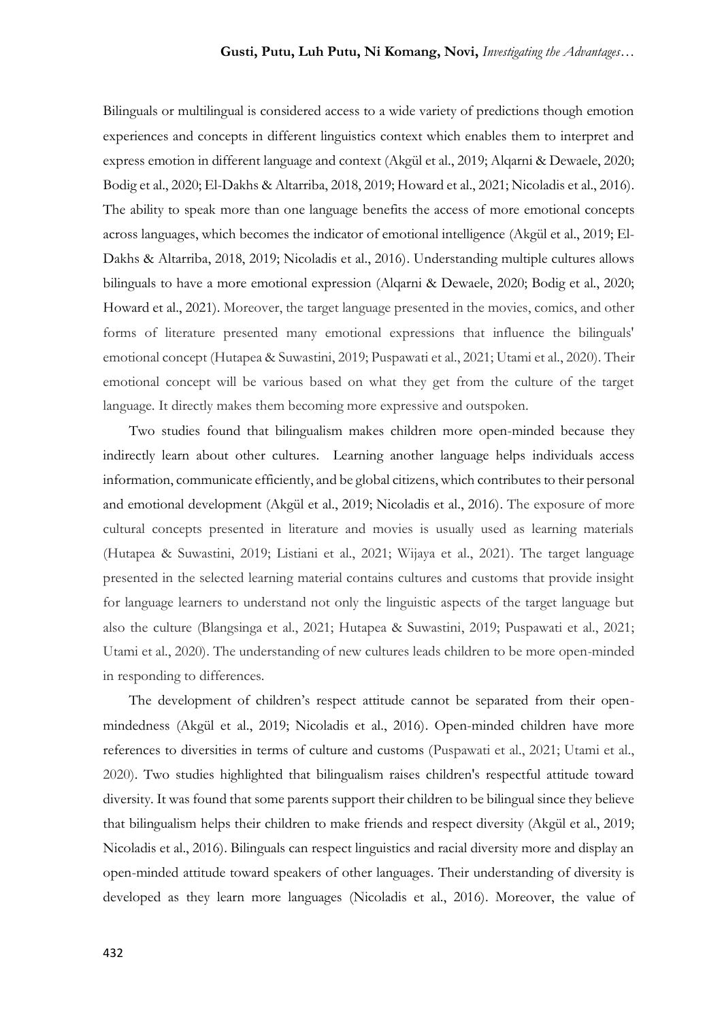Bilinguals or multilingual is considered access to a wide variety of predictions though emotion experiences and concepts in different linguistics context which enables them to interpret and express emotion in different language and context (Akgül et al., 2019; Alqarni & Dewaele, 2020; Bodig et al., 2020; El-Dakhs & Altarriba, 2018, 2019; Howard et al., 2021; Nicoladis et al., 2016). The ability to speak more than one language benefits the access of more emotional concepts across languages, which becomes the indicator of emotional intelligence (Akgül et al., 2019; El-Dakhs & Altarriba, 2018, 2019; Nicoladis et al., 2016). Understanding multiple cultures allows bilinguals to have a more emotional expression (Alqarni & Dewaele, 2020; Bodig et al., 2020; Howard et al., 2021). Moreover, the target language presented in the movies, comics, and other forms of literature presented many emotional expressions that influence the bilinguals' emotional concept (Hutapea & Suwastini, 2019; Puspawati et al., 2021; Utami et al., 2020). Their emotional concept will be various based on what they get from the culture of the target language. It directly makes them becoming more expressive and outspoken.

Two studies found that bilingualism makes children more open-minded because they indirectly learn about other cultures. Learning another language helps individuals access information, communicate efficiently, and be global citizens, which contributes to their personal and emotional development (Akgül et al., 2019; Nicoladis et al., 2016). The exposure of more cultural concepts presented in literature and movies is usually used as learning materials (Hutapea & Suwastini, 2019; Listiani et al., 2021; Wijaya et al., 2021). The target language presented in the selected learning material contains cultures and customs that provide insight for language learners to understand not only the linguistic aspects of the target language but also the culture (Blangsinga et al., 2021; Hutapea & Suwastini, 2019; Puspawati et al., 2021; Utami et al., 2020). The understanding of new cultures leads children to be more open-minded in responding to differences.

The development of children's respect attitude cannot be separated from their openmindedness (Akgül et al., 2019; Nicoladis et al., 2016). Open-minded children have more references to diversities in terms of culture and customs (Puspawati et al., 2021; Utami et al., 2020). Two studies highlighted that bilingualism raises children's respectful attitude toward diversity. It was found that some parents support their children to be bilingual since they believe that bilingualism helps their children to make friends and respect diversity (Akgül et al., 2019; Nicoladis et al., 2016). Bilinguals can respect linguistics and racial diversity more and display an open-minded attitude toward speakers of other languages. Their understanding of diversity is developed as they learn more languages (Nicoladis et al., 2016). Moreover, the value of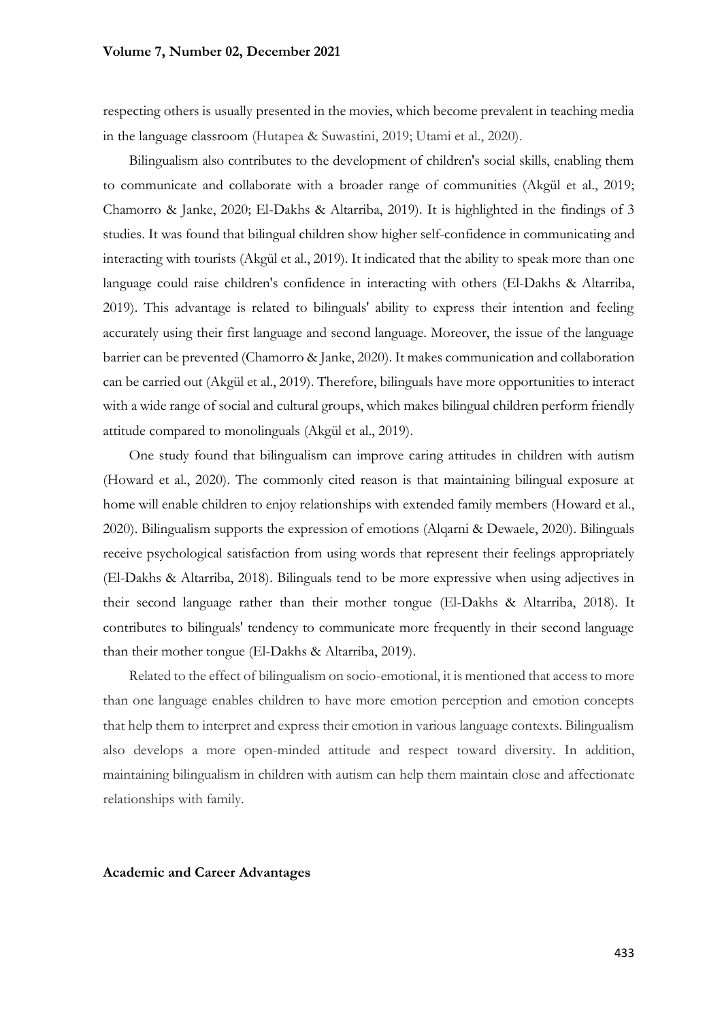respecting others is usually presented in the movies, which become prevalent in teaching media in the language classroom (Hutapea & Suwastini, 2019; Utami et al., 2020).

Bilingualism also contributes to the development of children's social skills, enabling them to communicate and collaborate with a broader range of communities (Akgül et al., 2019; Chamorro & Janke, 2020; El-Dakhs & Altarriba, 2019). It is highlighted in the findings of 3 studies. It was found that bilingual children show higher self-confidence in communicating and interacting with tourists (Akgül et al., 2019). It indicated that the ability to speak more than one language could raise children's confidence in interacting with others (El-Dakhs & Altarriba, 2019). This advantage is related to bilinguals' ability to express their intention and feeling accurately using their first language and second language. Moreover, the issue of the language barrier can be prevented (Chamorro & Janke, 2020). It makes communication and collaboration can be carried out (Akgül et al., 2019). Therefore, bilinguals have more opportunities to interact with a wide range of social and cultural groups, which makes bilingual children perform friendly attitude compared to monolinguals (Akgül et al., 2019).

One study found that bilingualism can improve caring attitudes in children with autism (Howard et al., 2020). The commonly cited reason is that maintaining bilingual exposure at home will enable children to enjoy relationships with extended family members (Howard et al., 2020). Bilingualism supports the expression of emotions (Alqarni & Dewaele, 2020). Bilinguals receive psychological satisfaction from using words that represent their feelings appropriately (El-Dakhs & Altarriba, 2018). Bilinguals tend to be more expressive when using adjectives in their second language rather than their mother tongue (El-Dakhs & Altarriba, 2018). It contributes to bilinguals' tendency to communicate more frequently in their second language than their mother tongue (El-Dakhs & Altarriba, 2019).

Related to the effect of bilingualism on socio-emotional, it is mentioned that access to more than one language enables children to have more emotion perception and emotion concepts that help them to interpret and express their emotion in various language contexts. Bilingualism also develops a more open-minded attitude and respect toward diversity. In addition, maintaining bilingualism in children with autism can help them maintain close and affectionate relationships with family.

#### **Academic and Career Advantages**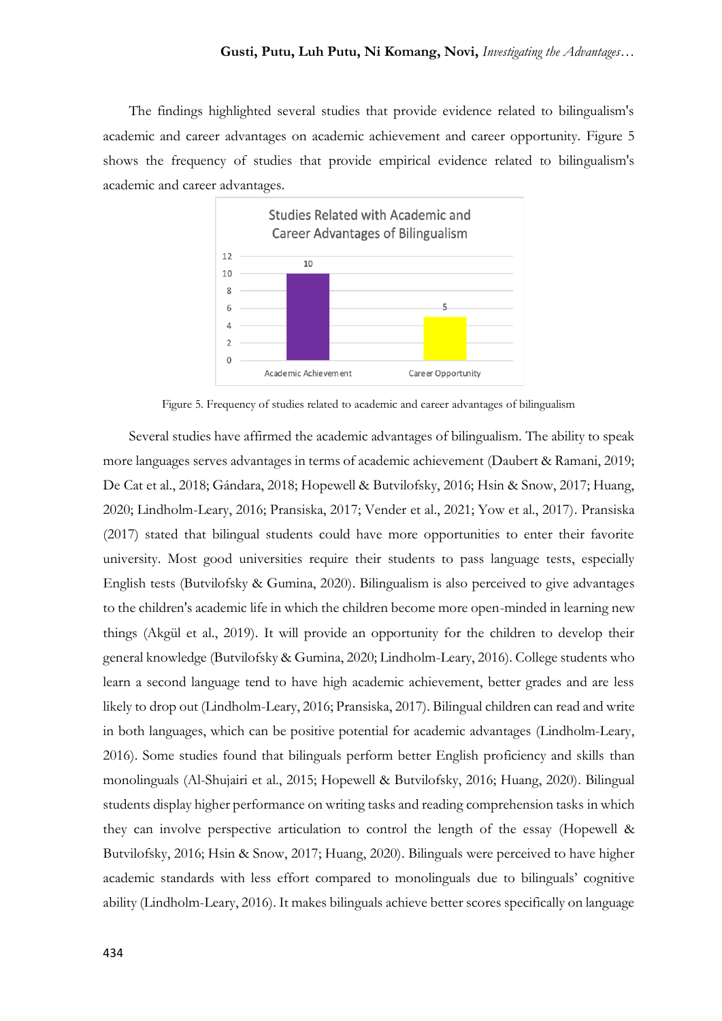The findings highlighted several studies that provide evidence related to bilingualism's academic and career advantages on academic achievement and career opportunity. Figure 5 shows the frequency of studies that provide empirical evidence related to bilingualism's academic and career advantages.



Figure 5. Frequency of studies related to academic and career advantages of bilingualism

Several studies have affirmed the academic advantages of bilingualism. The ability to speak more languages serves advantages in terms of academic achievement (Daubert & Ramani, 2019; De Cat et al., 2018; Gándara, 2018; Hopewell & Butvilofsky, 2016; Hsin & Snow, 2017; Huang, 2020; Lindholm-Leary, 2016; Pransiska, 2017; Vender et al., 2021; Yow et al., 2017). Pransiska (2017) stated that bilingual students could have more opportunities to enter their favorite university. Most good universities require their students to pass language tests, especially English tests (Butvilofsky & Gumina, 2020). Bilingualism is also perceived to give advantages to the children's academic life in which the children become more open-minded in learning new things (Akgül et al., 2019). It will provide an opportunity for the children to develop their general knowledge (Butvilofsky & Gumina, 2020; Lindholm-Leary, 2016). College students who learn a second language tend to have high academic achievement, better grades and are less likely to drop out (Lindholm-Leary, 2016; Pransiska, 2017). Bilingual children can read and write in both languages, which can be positive potential for academic advantages (Lindholm-Leary, 2016). Some studies found that bilinguals perform better English proficiency and skills than monolinguals (Al-Shujairi et al., 2015; Hopewell & Butvilofsky, 2016; Huang, 2020). Bilingual students display higher performance on writing tasks and reading comprehension tasks in which they can involve perspective articulation to control the length of the essay (Hopewell & Butvilofsky, 2016; Hsin & Snow, 2017; Huang, 2020). Bilinguals were perceived to have higher academic standards with less effort compared to monolinguals due to bilinguals' cognitive ability (Lindholm-Leary, 2016). It makes bilinguals achieve better scores specifically on language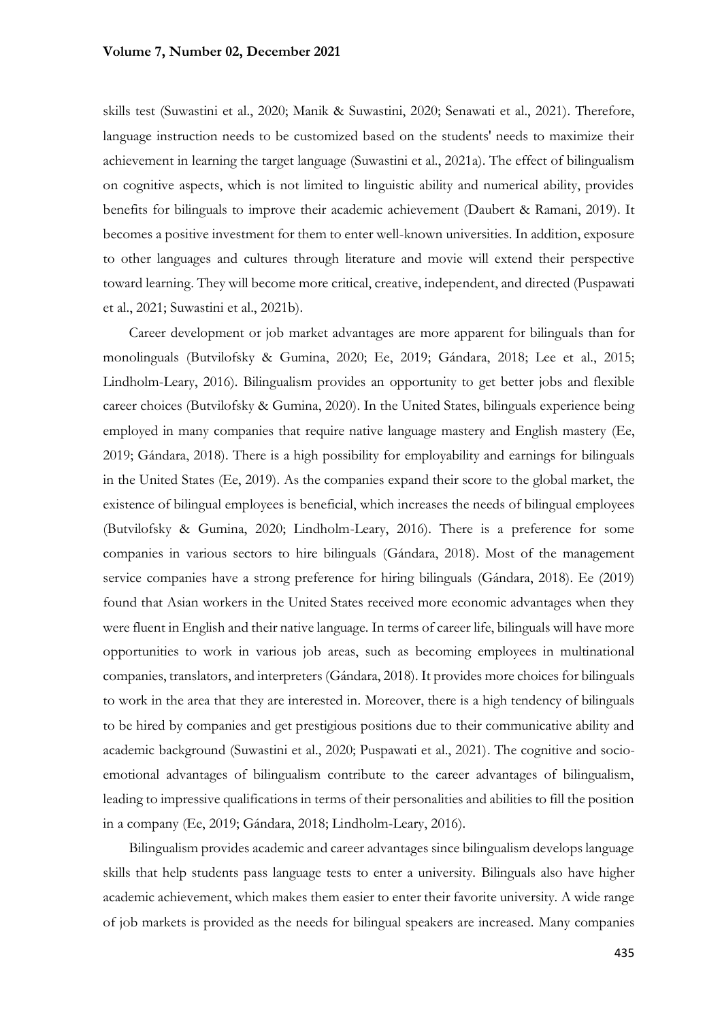skills test (Suwastini et al., 2020; Manik & Suwastini, 2020; Senawati et al., 2021). Therefore, language instruction needs to be customized based on the students' needs to maximize their achievement in learning the target language (Suwastini et al., 2021a). The effect of bilingualism on cognitive aspects, which is not limited to linguistic ability and numerical ability, provides benefits for bilinguals to improve their academic achievement (Daubert & Ramani, 2019). It becomes a positive investment for them to enter well-known universities. In addition, exposure to other languages and cultures through literature and movie will extend their perspective toward learning. They will become more critical, creative, independent, and directed (Puspawati et al., 2021; Suwastini et al., 2021b).

Career development or job market advantages are more apparent for bilinguals than for monolinguals (Butvilofsky & Gumina, 2020; Ee, 2019; Gándara, 2018; Lee et al., 2015; Lindholm-Leary, 2016). Bilingualism provides an opportunity to get better jobs and flexible career choices (Butvilofsky & Gumina, 2020). In the United States, bilinguals experience being employed in many companies that require native language mastery and English mastery (Ee, 2019; Gándara, 2018). There is a high possibility for employability and earnings for bilinguals in the United States (Ee, 2019). As the companies expand their score to the global market, the existence of bilingual employees is beneficial, which increases the needs of bilingual employees (Butvilofsky & Gumina, 2020; Lindholm-Leary, 2016). There is a preference for some companies in various sectors to hire bilinguals (Gándara, 2018). Most of the management service companies have a strong preference for hiring bilinguals (Gándara, 2018). Ee (2019) found that Asian workers in the United States received more economic advantages when they were fluent in English and their native language. In terms of career life, bilinguals will have more opportunities to work in various job areas, such as becoming employees in multinational companies, translators, and interpreters (Gándara, 2018). It provides more choices for bilinguals to work in the area that they are interested in. Moreover, there is a high tendency of bilinguals to be hired by companies and get prestigious positions due to their communicative ability and academic background (Suwastini et al., 2020; Puspawati et al., 2021). The cognitive and socioemotional advantages of bilingualism contribute to the career advantages of bilingualism, leading to impressive qualifications in terms of their personalities and abilities to fill the position in a company (Ee, 2019; Gándara, 2018; Lindholm-Leary, 2016).

Bilingualism provides academic and career advantages since bilingualism develops language skills that help students pass language tests to enter a university. Bilinguals also have higher academic achievement, which makes them easier to enter their favorite university. A wide range of job markets is provided as the needs for bilingual speakers are increased. Many companies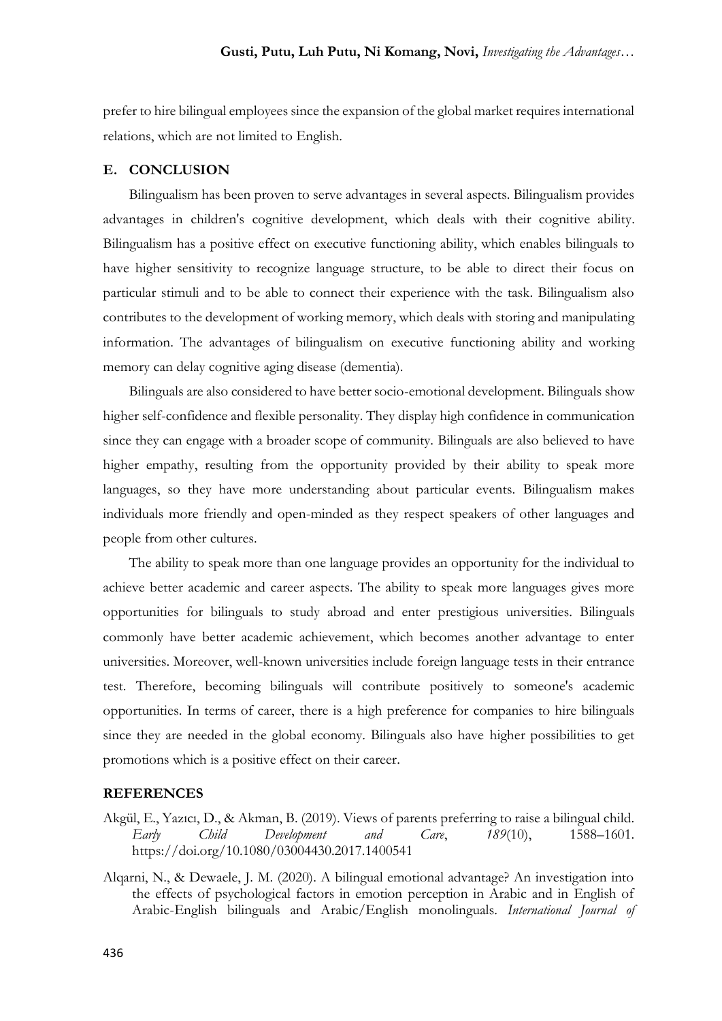prefer to hire bilingual employees since the expansion of the global market requires international relations, which are not limited to English.

### **E. CONCLUSION**

Bilingualism has been proven to serve advantages in several aspects. Bilingualism provides advantages in children's cognitive development, which deals with their cognitive ability. Bilingualism has a positive effect on executive functioning ability, which enables bilinguals to have higher sensitivity to recognize language structure, to be able to direct their focus on particular stimuli and to be able to connect their experience with the task. Bilingualism also contributes to the development of working memory, which deals with storing and manipulating information. The advantages of bilingualism on executive functioning ability and working memory can delay cognitive aging disease (dementia).

Bilinguals are also considered to have better socio-emotional development. Bilinguals show higher self-confidence and flexible personality. They display high confidence in communication since they can engage with a broader scope of community. Bilinguals are also believed to have higher empathy, resulting from the opportunity provided by their ability to speak more languages, so they have more understanding about particular events. Bilingualism makes individuals more friendly and open-minded as they respect speakers of other languages and people from other cultures.

The ability to speak more than one language provides an opportunity for the individual to achieve better academic and career aspects. The ability to speak more languages gives more opportunities for bilinguals to study abroad and enter prestigious universities. Bilinguals commonly have better academic achievement, which becomes another advantage to enter universities. Moreover, well-known universities include foreign language tests in their entrance test. Therefore, becoming bilinguals will contribute positively to someone's academic opportunities. In terms of career, there is a high preference for companies to hire bilinguals since they are needed in the global economy. Bilinguals also have higher possibilities to get promotions which is a positive effect on their career.

### **REFERENCES**

- Akgül, E., Yazıcı, D., & Akman, B. (2019). Views of parents preferring to raise a bilingual child. *Early Child Development and Care*, *189*(10), 1588–1601. https://doi.org/10.1080/03004430.2017.1400541
- Alqarni, N., & Dewaele, J. M. (2020). A bilingual emotional advantage? An investigation into the effects of psychological factors in emotion perception in Arabic and in English of Arabic-English bilinguals and Arabic/English monolinguals. *International Journal of*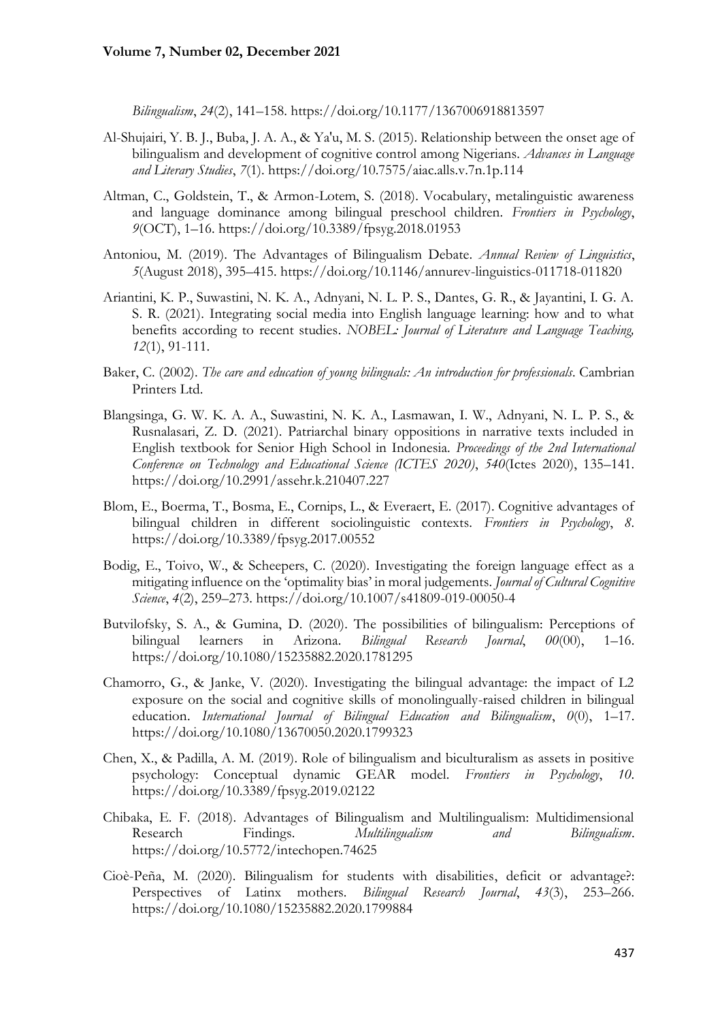*Bilingualism*, *24*(2), 141–158. https://doi.org/10.1177/1367006918813597

- Al-Shujairi, Y. B. J., Buba, J. A. A., & Ya'u, M. S. (2015). Relationship between the onset age of bilingualism and development of cognitive control among Nigerians. *Advances in Language and Literary Studies*, *7*(1). https://doi.org/10.7575/aiac.alls.v.7n.1p.114
- Altman, C., Goldstein, T., & Armon-Lotem, S. (2018). Vocabulary, metalinguistic awareness and language dominance among bilingual preschool children. *Frontiers in Psychology*, *9*(OCT), 1–16. https://doi.org/10.3389/fpsyg.2018.01953
- Antoniou, M. (2019). The Advantages of Bilingualism Debate. *Annual Review of Linguistics*, *5*(August 2018), 395–415. https://doi.org/10.1146/annurev-linguistics-011718-011820
- Ariantini, K. P., Suwastini, N. K. A., Adnyani, N. L. P. S., Dantes, G. R., & Jayantini, I. G. A. S. R. (2021). Integrating social media into English language learning: how and to what benefits according to recent studies. *NOBEL: Journal of Literature and Language Teaching, 12*(1), 91-111.
- Baker, C. (2002). *The care and education of young bilinguals: An introduction for professionals*. Cambrian Printers Ltd.
- Blangsinga, G. W. K. A. A., Suwastini, N. K. A., Lasmawan, I. W., Adnyani, N. L. P. S., & Rusnalasari, Z. D. (2021). Patriarchal binary oppositions in narrative texts included in English textbook for Senior High School in Indonesia. *Proceedings of the 2nd International Conference on Technology and Educational Science (ICTES 2020)*, *540*(Ictes 2020), 135–141. https://doi.org/10.2991/assehr.k.210407.227
- Blom, E., Boerma, T., Bosma, E., Cornips, L., & Everaert, E. (2017). Cognitive advantages of bilingual children in different sociolinguistic contexts. *Frontiers in Psychology*, *8*. https://doi.org/10.3389/fpsyg.2017.00552
- Bodig, E., Toivo, W., & Scheepers, C. (2020). Investigating the foreign language effect as a mitigating influence on the 'optimality bias' in moral judgements. *Journal of Cultural Cognitive Science*, *4*(2), 259–273. https://doi.org/10.1007/s41809-019-00050-4
- Butvilofsky, S. A., & Gumina, D. (2020). The possibilities of bilingualism: Perceptions of bilingual learners in Arizona. *Bilingual Research Journal*, *00*(00), 1–16. https://doi.org/10.1080/15235882.2020.1781295
- Chamorro, G., & Janke, V. (2020). Investigating the bilingual advantage: the impact of L2 exposure on the social and cognitive skills of monolingually-raised children in bilingual education. *International Journal of Bilingual Education and Bilingualism*, *0*(0), 1–17. https://doi.org/10.1080/13670050.2020.1799323
- Chen, X., & Padilla, A. M. (2019). Role of bilingualism and biculturalism as assets in positive psychology: Conceptual dynamic GEAR model. *Frontiers in Psychology*, *10*. https://doi.org/10.3389/fpsyg.2019.02122
- Chibaka, E. F. (2018). Advantages of Bilingualism and Multilingualism: Multidimensional Research Findings. *Multilingualism and Bilingualism*. https://doi.org/10.5772/intechopen.74625
- Cioè-Peña, M. (2020). Bilingualism for students with disabilities, deficit or advantage?: Perspectives of Latinx mothers. *Bilingual Research Journal*, *43*(3), 253–266. https://doi.org/10.1080/15235882.2020.1799884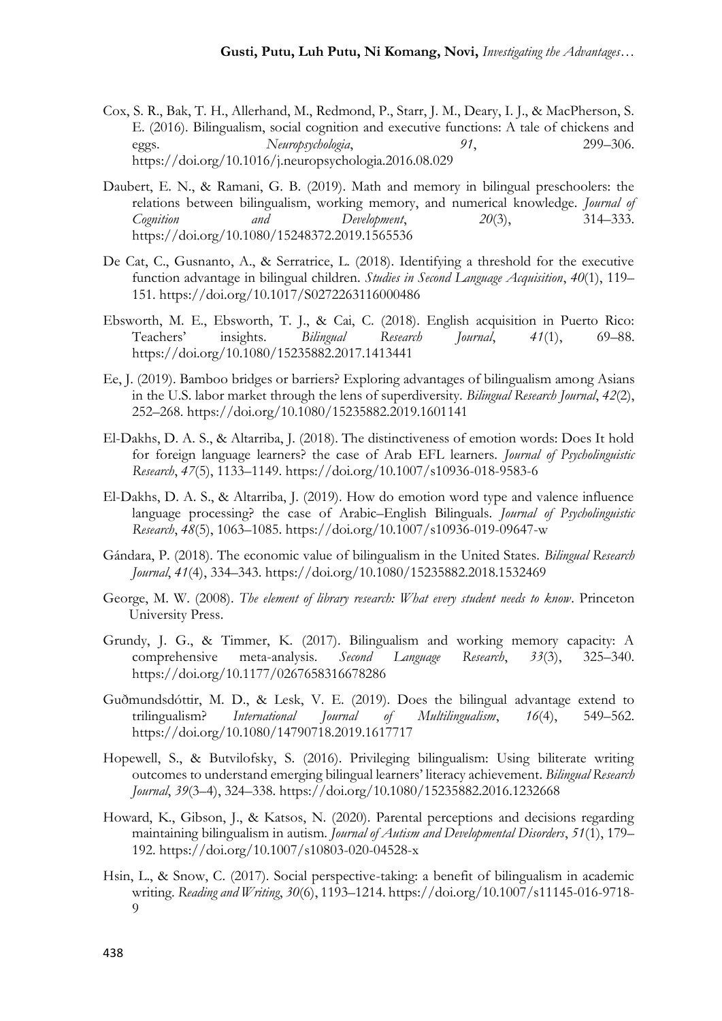- Cox, S. R., Bak, T. H., Allerhand, M., Redmond, P., Starr, J. M., Deary, I. J., & MacPherson, S. E. (2016). Bilingualism, social cognition and executive functions: A tale of chickens and eggs. *Neuropsychologia*, *91*, 299–306. https://doi.org/10.1016/j.neuropsychologia.2016.08.029
- Daubert, E. N., & Ramani, G. B. (2019). Math and memory in bilingual preschoolers: the relations between bilingualism, working memory, and numerical knowledge. *Journal of Cognition and Development*, *20*(3), 314–333. https://doi.org/10.1080/15248372.2019.1565536
- De Cat, C., Gusnanto, A., & Serratrice, L. (2018). Identifying a threshold for the executive function advantage in bilingual children. *Studies in Second Language Acquisition*, *40*(1), 119– 151. https://doi.org/10.1017/S0272263116000486
- Ebsworth, M. E., Ebsworth, T. J., & Cai, C. (2018). English acquisition in Puerto Rico: Teachers' insights. *Bilingual Research Journal*, *41*(1), 69–88. https://doi.org/10.1080/15235882.2017.1413441
- Ee, J. (2019). Bamboo bridges or barriers? Exploring advantages of bilingualism among Asians in the U.S. labor market through the lens of superdiversity. *Bilingual Research Journal*, *42*(2), 252–268. https://doi.org/10.1080/15235882.2019.1601141
- El-Dakhs, D. A. S., & Altarriba, J. (2018). The distinctiveness of emotion words: Does It hold for foreign language learners? the case of Arab EFL learners. *Journal of Psycholinguistic Research*, *47*(5), 1133–1149. https://doi.org/10.1007/s10936-018-9583-6
- El-Dakhs, D. A. S., & Altarriba, J. (2019). How do emotion word type and valence influence language processing? the case of Arabic–English Bilinguals. *Journal of Psycholinguistic Research*, *48*(5), 1063–1085. https://doi.org/10.1007/s10936-019-09647-w
- Gándara, P. (2018). The economic value of bilingualism in the United States. *Bilingual Research Journal*, *41*(4), 334–343. https://doi.org/10.1080/15235882.2018.1532469
- George, M. W. (2008). *The element of library research: What every student needs to know*. Princeton University Press.
- Grundy, J. G., & Timmer, K. (2017). Bilingualism and working memory capacity: A comprehensive meta-analysis. *Second Language Research*, *33*(3), 325–340. https://doi.org/10.1177/0267658316678286
- Guðmundsdóttir, M. D., & Lesk, V. E. (2019). Does the bilingual advantage extend to trilingualism? *International Journal of Multilingualism*, *16*(4), 549–562. https://doi.org/10.1080/14790718.2019.1617717
- Hopewell, S., & Butvilofsky, S. (2016). Privileging bilingualism: Using biliterate writing outcomes to understand emerging bilingual learners' literacy achievement. *Bilingual Research Journal*, *39*(3–4), 324–338. https://doi.org/10.1080/15235882.2016.1232668
- Howard, K., Gibson, J., & Katsos, N. (2020). Parental perceptions and decisions regarding maintaining bilingualism in autism. *Journal of Autism and Developmental Disorders*, *51*(1), 179– 192. https://doi.org/10.1007/s10803-020-04528-x
- Hsin, L., & Snow, C. (2017). Social perspective-taking: a benefit of bilingualism in academic writing. *Reading and Writing*, *30*(6), 1193–1214. https://doi.org/10.1007/s11145-016-9718- 9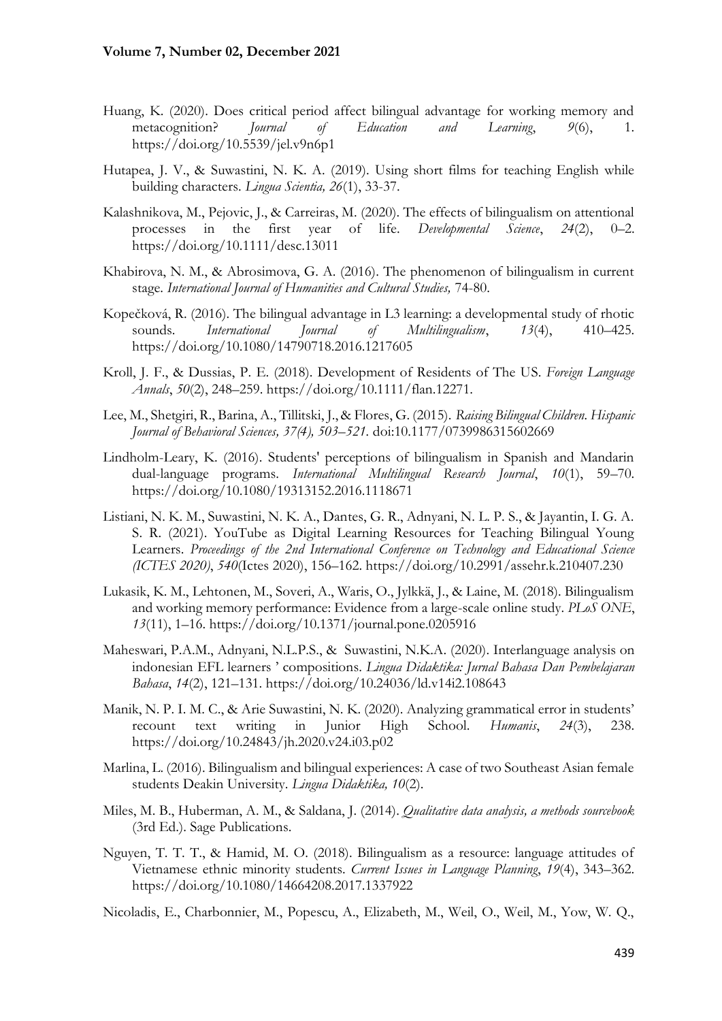- Huang, K. (2020). Does critical period affect bilingual advantage for working memory and metacognition? *Journal of Education and Learning*, *9*(6), 1. https://doi.org/10.5539/jel.v9n6p1
- Hutapea, J. V., & Suwastini, N. K. A. (2019). Using short films for teaching English while building characters. *Lingua Scientia, 26*(1), 33-37.
- Kalashnikova, M., Pejovic, J., & Carreiras, M. (2020). The effects of bilingualism on attentional processes in the first year of life. *Developmental Science*, *24*(2), 0–2. https://doi.org/10.1111/desc.13011
- Khabirova, N. M., & Abrosimova, G. A. (2016). The phenomenon of bilingualism in current stage. *International Journal of Humanities and Cultural Studies,* 74-80.
- Kopečková, R. (2016). The bilingual advantage in L3 learning: a developmental study of rhotic sounds. *International Journal of Multilingualism*, *13*(4), 410–425. https://doi.org/10.1080/14790718.2016.1217605
- Kroll, J. F., & Dussias, P. E. (2018). Development of Residents of The US. *Foreign Language Annals*, *50*(2), 248–259. https://doi.org/10.1111/flan.12271.
- Lee, M., Shetgiri, R., Barina, A., Tillitski, J., & Flores, G. (2015). *Raising Bilingual Children. Hispanic Journal of Behavioral Sciences, 37(4), 503–521.* doi:10.1177/0739986315602669
- Lindholm-Leary, K. (2016). Students' perceptions of bilingualism in Spanish and Mandarin dual-language programs. *International Multilingual Research Journal*, *10*(1), 59–70. https://doi.org/10.1080/19313152.2016.1118671
- Listiani, N. K. M., Suwastini, N. K. A., Dantes, G. R., Adnyani, N. L. P. S., & Jayantin, I. G. A. S. R. (2021). YouTube as Digital Learning Resources for Teaching Bilingual Young Learners. *Proceedings of the 2nd International Conference on Technology and Educational Science (ICTES 2020)*, *540*(Ictes 2020), 156–162. https://doi.org/10.2991/assehr.k.210407.230
- Lukasik, K. M., Lehtonen, M., Soveri, A., Waris, O., Jylkkä, J., & Laine, M. (2018). Bilingualism and working memory performance: Evidence from a large-scale online study. *PLoS ONE*, *13*(11), 1–16. https://doi.org/10.1371/journal.pone.0205916
- Maheswari, P.A.M., Adnyani, N.L.P.S., & Suwastini, N.K.A. (2020). Interlanguage analysis on indonesian EFL learners ' compositions. *Lingua Didaktika: Jurnal Bahasa Dan Pembelajaran Bahasa*, *14*(2), 121–131. https://doi.org/10.24036/ld.v14i2.108643
- Manik, N. P. I. M. C., & Arie Suwastini, N. K. (2020). Analyzing grammatical error in students' recount text writing in Junior High School. *Humanis*, *24*(3), 238. https://doi.org/10.24843/jh.2020.v24.i03.p02
- Marlina, L. (2016). Bilingualism and bilingual experiences: A case of two Southeast Asian female students Deakin University. *Lingua Didaktika, 10*(2).
- Miles, M. B., Huberman, A. M., & Saldana, J. (2014). *Qualitative data analysis, a methods sourcebook* (3rd Ed.). Sage Publications.
- Nguyen, T. T. T., & Hamid, M. O. (2018). Bilingualism as a resource: language attitudes of Vietnamese ethnic minority students. *Current Issues in Language Planning*, *19*(4), 343–362. https://doi.org/10.1080/14664208.2017.1337922
- Nicoladis, E., Charbonnier, M., Popescu, A., Elizabeth, M., Weil, O., Weil, M., Yow, W. Q.,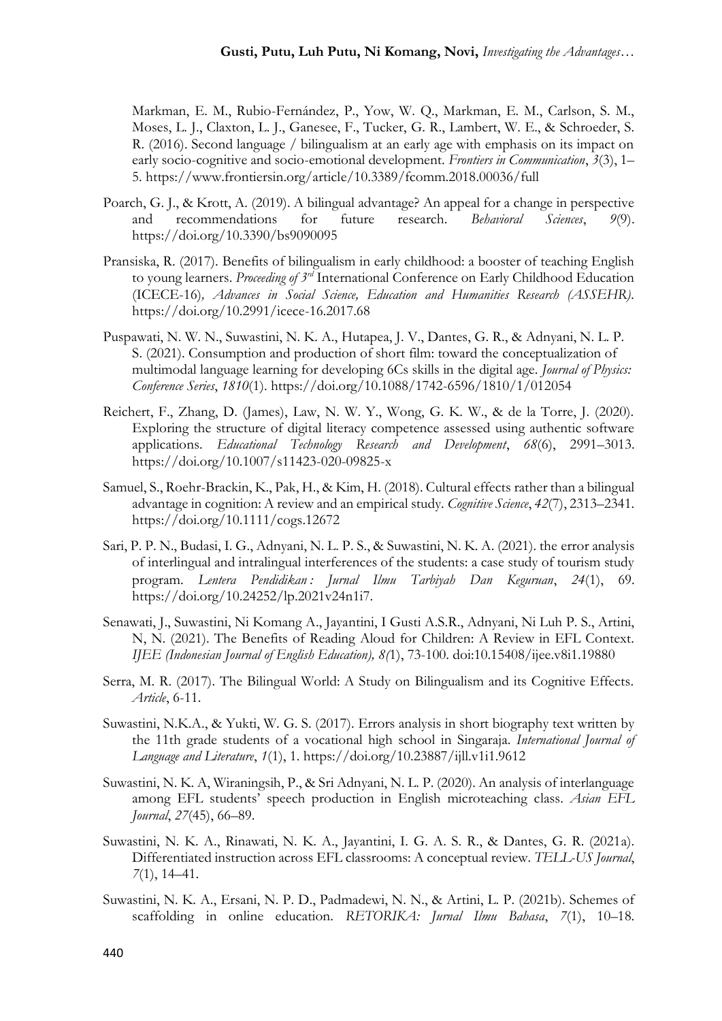Markman, E. M., Rubio-Fernández, P., Yow, W. Q., Markman, E. M., Carlson, S. M., Moses, L. J., Claxton, L. J., Ganesee, F., Tucker, G. R., Lambert, W. E., & Schroeder, S. R. (2016). Second language / bilingualism at an early age with emphasis on its impact on early socio-cognitive and socio-emotional development. *Frontiers in Communication*, *3*(3), 1– 5. https://www.frontiersin.org/article/10.3389/fcomm.2018.00036/full

- Poarch, G. J., & Krott, A. (2019). A bilingual advantage? An appeal for a change in perspective and recommendations for future research. *Behavioral Sciences*, *9*(9). https://doi.org/10.3390/bs9090095
- Pransiska, R. (2017). Benefits of bilingualism in early childhood: a booster of teaching English to young learners. *Proceeding of 3rd* International Conference on Early Childhood Education (ICECE-16)*, Advances in Social Science, Education and Humanities Research (ASSEHR).* https://doi.org/10.2991/icece-16.2017.68
- Puspawati, N. W. N., Suwastini, N. K. A., Hutapea, J. V., Dantes, G. R., & Adnyani, N. L. P. S. (2021). Consumption and production of short film: toward the conceptualization of multimodal language learning for developing 6Cs skills in the digital age. *Journal of Physics: Conference Series*, *1810*(1). https://doi.org/10.1088/1742-6596/1810/1/012054
- Reichert, F., Zhang, D. (James), Law, N. W. Y., Wong, G. K. W., & de la Torre, J. (2020). Exploring the structure of digital literacy competence assessed using authentic software applications. *Educational Technology Research and Development*, *68*(6), 2991–3013. https://doi.org/10.1007/s11423-020-09825-x
- Samuel, S., Roehr-Brackin, K., Pak, H., & Kim, H. (2018). Cultural effects rather than a bilingual advantage in cognition: A review and an empirical study. *Cognitive Science*, *42*(7), 2313–2341. https://doi.org/10.1111/cogs.12672
- Sari, P. P. N., Budasi, I. G., Adnyani, N. L. P. S., & Suwastini, N. K. A. (2021). the error analysis of interlingual and intralingual interferences of the students: a case study of tourism study program. *Lentera Pendidikan : Jurnal Ilmu Tarbiyah Dan Keguruan*, *24*(1), 69. https://doi.org/10.24252/lp.2021v24n1i7.
- Senawati, J., Suwastini, Ni Komang A., Jayantini, I Gusti A.S.R., Adnyani, Ni Luh P. S., Artini, N, N. (2021). The Benefits of Reading Aloud for Children: A Review in EFL Context. *IJEE (Indonesian Journal of English Education), 8(*1), 73-100. doi:10.15408/ijee.v8i1.19880
- Serra, M. R. (2017). The Bilingual World: A Study on Bilingualism and its Cognitive Effects. *Article*, 6-11.
- Suwastini, N.K.A., & Yukti, W. G. S. (2017). Errors analysis in short biography text written by the 11th grade students of a vocational high school in Singaraja. *International Journal of Language and Literature*, *1*(1), 1. https://doi.org/10.23887/ijll.v1i1.9612
- Suwastini, N. K. A, Wiraningsih, P., & Sri Adnyani, N. L. P. (2020). An analysis of interlanguage among EFL students' speech production in English microteaching class. *Asian EFL Journal*, *27*(45), 66–89.
- Suwastini, N. K. A., Rinawati, N. K. A., Jayantini, I. G. A. S. R., & Dantes, G. R. (2021a). Differentiated instruction across EFL classrooms: A conceptual review. *TELL-US Journal*, *7*(1), 14–41.
- Suwastini, N. K. A., Ersani, N. P. D., Padmadewi, N. N., & Artini, L. P. (2021b). Schemes of scaffolding in online education. *RETORIKA: Jurnal Ilmu Bahasa*, *7*(1), 10–18.